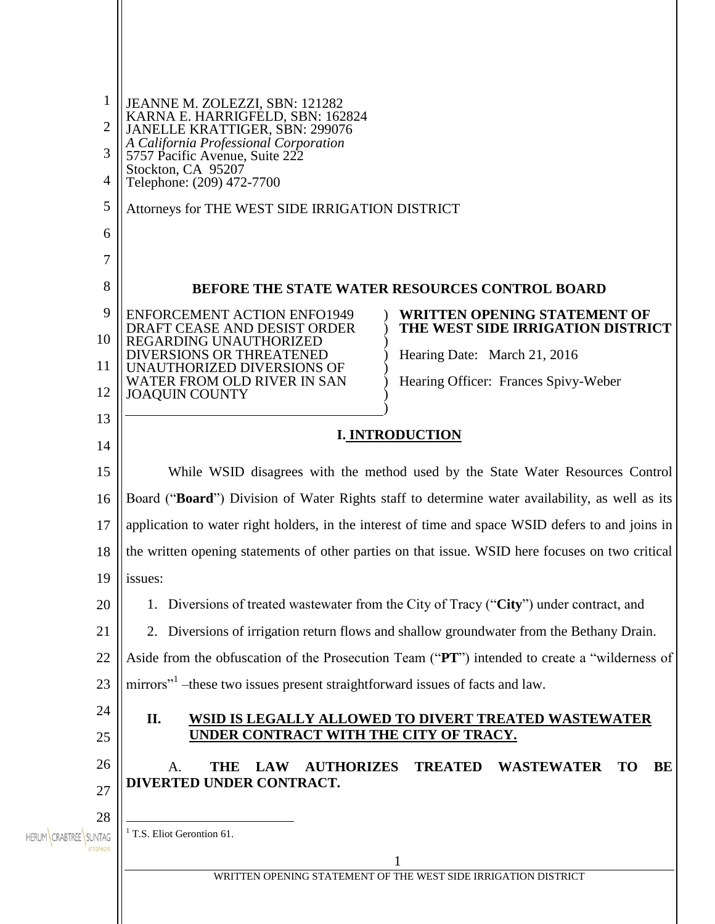| 1                                        | JEANNE M. ZOLEZZI, SBN: 121282<br>KARNA E. HARRIGFELD, SBN: 162824                                                                                                |
|------------------------------------------|-------------------------------------------------------------------------------------------------------------------------------------------------------------------|
| $\overline{2}$                           | JANELLE KRATTIGER, SBN: 299076<br>A California Professional Corporation                                                                                           |
| 3                                        | 5757 Pacific Avenue, Suite 222<br>Stockton, CA 95207                                                                                                              |
| 4                                        | Telephone: (209) 472-7700                                                                                                                                         |
| 5                                        | Attorneys for THE WEST SIDE IRRIGATION DISTRICT                                                                                                                   |
| 6                                        |                                                                                                                                                                   |
| 7<br>8                                   |                                                                                                                                                                   |
| 9                                        | <b>BEFORE THE STATE WATER RESOURCES CONTROL BOARD</b>                                                                                                             |
| 10                                       | <b>ENFORCEMENT ACTION ENFO1949</b><br>WRITTEN OPENING STATEMENT OF<br>DRAFT CEASE AND DESIST ORDER<br>THE WEST SIDE IRRIGATION DISTRICT<br>REGARDING UNAUTHORIZED |
| 11                                       | DIVERSIONS OR THREATENED<br>Hearing Date: March 21, 2016<br>UNAUTHORIZED DIVERSIONS OF                                                                            |
| 12                                       | WATER FROM OLD RIVER IN SAN<br>Hearing Officer: Frances Spivy-Weber<br><b>JOAQUIN COUNTY</b>                                                                      |
| 13                                       |                                                                                                                                                                   |
| 14                                       | <b>I. INTRODUCTION</b>                                                                                                                                            |
| 15                                       | While WSID disagrees with the method used by the State Water Resources Control                                                                                    |
| 16                                       | Board ("Board") Division of Water Rights staff to determine water availability, as well as its                                                                    |
| 17                                       | application to water right holders, in the interest of time and space WSID defers to and joins in                                                                 |
| 18                                       | the written opening statements of other parties on that issue. WSID here focuses on two critical                                                                  |
| 19                                       | issues:                                                                                                                                                           |
| 20                                       | 1. Diversions of treated wastewater from the City of Tracy ("City") under contract, and                                                                           |
| 21                                       | 2. Diversions of irrigation return flows and shallow groundwater from the Bethany Drain.                                                                          |
| 22                                       | Aside from the obfuscation of the Prosecution Team ("PT") intended to create a "wilderness of                                                                     |
| 23                                       | mirrors" <sup>1</sup> – these two issues present straightforward issues of facts and law.                                                                         |
| 24<br>25                                 | II.<br>WSID IS LEGALLY ALLOWED TO DIVERT TREATED WASTEWATER<br>UNDER CONTRACT WITH THE CITY OF TRACY.                                                             |
| 26                                       | <b>AUTHORIZES</b><br><b>TREATED</b><br><b>WASTEWATER</b><br>BE<br><b>TO</b><br><b>LAW</b><br>THE                                                                  |
| 27                                       | А.<br>DIVERTED UNDER CONTRACT.                                                                                                                                    |
| 28                                       |                                                                                                                                                                   |
| HERUM CRABTREE SUNTAG<br><b>TTORNEYS</b> | <sup>1</sup> T.S. Eliot Gerontion 61.                                                                                                                             |
|                                          | WRITTEN OPENING STATEMENT OF THE WEST SIDE IRRIGATION DISTRICT                                                                                                    |
|                                          |                                                                                                                                                                   |
|                                          |                                                                                                                                                                   |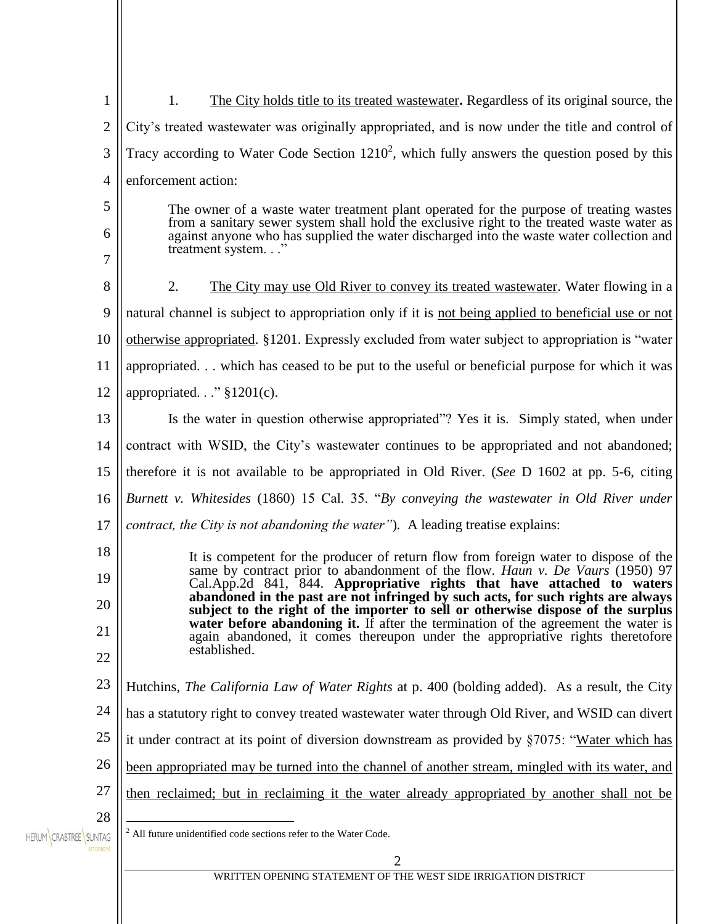| 1                                         | The City holds title to its treated was tewater. Regardless of its original source, the<br>1.                                                                                                              |
|-------------------------------------------|------------------------------------------------------------------------------------------------------------------------------------------------------------------------------------------------------------|
| $\overline{2}$                            | City's treated was tewater was originally appropriated, and is now under the title and control of                                                                                                          |
| 3                                         | Tracy according to Water Code Section $1210^2$ , which fully answers the question posed by this                                                                                                            |
| 4                                         | enforcement action:                                                                                                                                                                                        |
| 5                                         | The owner of a waste water treatment plant operated for the purpose of treating wastes                                                                                                                     |
| 6                                         | from a sanitary sewer system shall hold the exclusive right to the treated waste water as<br>against anyone who has supplied the water discharged into the waste water collection and<br>treatment system" |
| 7                                         |                                                                                                                                                                                                            |
| 8                                         | 2.<br>The City may use Old River to convey its treated was tewater. Water flowing in a                                                                                                                     |
| 9                                         | natural channel is subject to appropriation only if it is not being applied to beneficial use or not                                                                                                       |
| 10                                        | otherwise appropriated. §1201. Expressly excluded from water subject to appropriation is "water                                                                                                            |
| 11                                        | appropriated which has ceased to be put to the useful or beneficial purpose for which it was                                                                                                               |
| 12                                        | appropriated." §1201(c).                                                                                                                                                                                   |
| 13                                        | Is the water in question otherwise appropriated"? Yes it is. Simply stated, when under                                                                                                                     |
| 14                                        | contract with WSID, the City's wastewater continues to be appropriated and not abandoned;                                                                                                                  |
| 15                                        | therefore it is not available to be appropriated in Old River. (See D 1602 at pp. 5-6, citing                                                                                                              |
| 16                                        | Burnett v. Whitesides (1860) 15 Cal. 35. "By conveying the wastewater in Old River under                                                                                                                   |
| 17                                        | contract, the City is not abandoning the water"). A leading treatise explains:                                                                                                                             |
| 18                                        | It is competent for the producer of return flow from foreign water to dispose of the                                                                                                                       |
| 19                                        | same by contract prior to abandonment of the flow. <i>Haun v. De Vaurs</i> (1950) 97<br>Cal.App.2d 841, 844. Appropriative rights that have attached to waters                                             |
| 20                                        | abandoned in the past are not infringed by such acts, for such rights are always<br>subject to the right of the importer to sell or otherwise dispose of the surplus                                       |
| 21                                        | water before abandoning it. If after the termination of the agreement the water is<br>again abandoned, it comes thereupon under the appropriative rights theretofore                                       |
| 22                                        | established.                                                                                                                                                                                               |
| 23                                        | Hutchins, <i>The California Law of Water Rights</i> at p. 400 (bolding added). As a result, the City                                                                                                       |
| 24                                        | has a statutory right to convey treated wastewater water through Old River, and WSID can divert                                                                                                            |
| 25                                        | it under contract at its point of diversion downstream as provided by §7075: "Water which has                                                                                                              |
| 26                                        | been appropriated may be turned into the channel of another stream, mingled with its water, and                                                                                                            |
| 27                                        | then reclaimed; but in reclaiming it the water already appropriated by another shall not be                                                                                                                |
| 28                                        | $2$ All future unidentified code sections refer to the Water Code.                                                                                                                                         |
| HERUM CRABTREE SUNTAG<br><b>ATTORNEYS</b> | $\overline{2}$                                                                                                                                                                                             |
|                                           | WRITTEN OPENING STATEMENT OF THE WEST SIDE IRRIGATION DISTRICT                                                                                                                                             |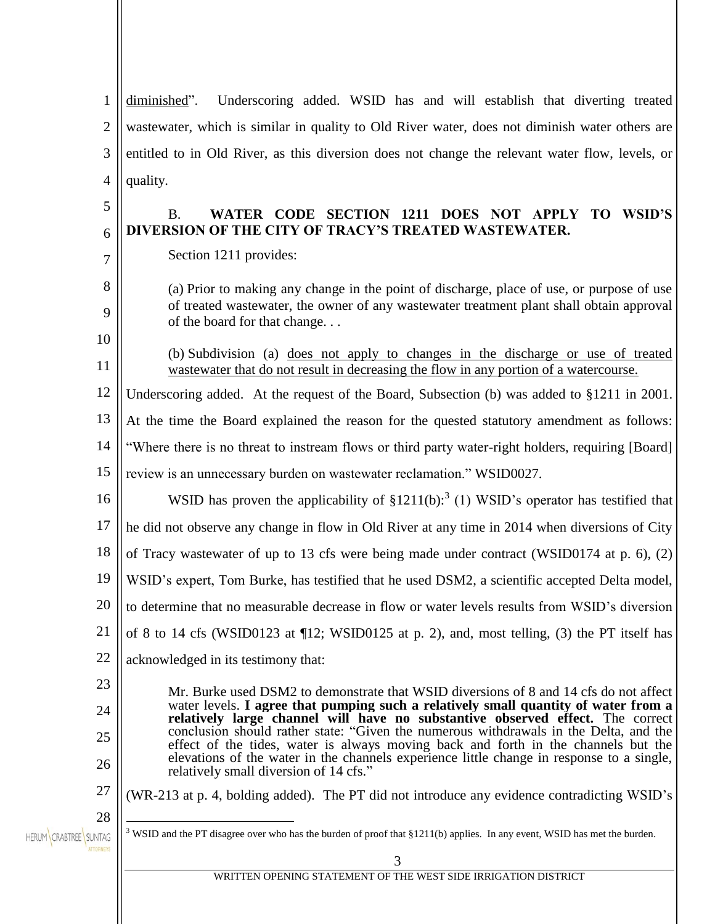1 diminished". Underscoring added. WSID has and will establish that diverting treated 2 wastewater, which is similar in quality to Old River water, does not diminish water others are 3 entitled to in Old River, as this diversion does not change the relevant water flow, levels, or 4 quality. 5 B. **WATER CODE SECTION 1211 DOES NOT APPLY TO WSID'S DIVERSION OF THE CITY OF TRACY'S TREATED WASTEWATER.** 6 Section 1211 provides: 7 8 (a) Prior to making any change in the point of discharge, place of use, or purpose of use of treated wastewater, the owner of any wastewater treatment plant shall obtain approval 9 of the board for that change. . . 10 (b) Subdivision (a) does not apply to changes in the discharge or use of treated 11 wastewater that do not result in decreasing the flow in any portion of a watercourse. 12 Underscoring added. At the request of the Board, Subsection (b) was added to §1211 in 2001. 13 At the time the Board explained the reason for the quested statutory amendment as follows: 14 "Where there is no threat to instream flows or third party water-right holders, requiring [Board] 15 review is an unnecessary burden on wastewater reclamation." WSID0027. WSID has proven the applicability of  $$1211(b):$ <sup>3</sup> (1) WSID's operator has testified that 16 17 he did not observe any change in flow in Old River at any time in 2014 when diversions of City 18 of Tracy wastewater of up to 13 cfs were being made under contract (WSID0174 at p. 6), (2) 19 WSID's expert, Tom Burke, has testified that he used DSM2, a scientific accepted Delta model, 20 to determine that no measurable decrease in flow or water levels results from WSID's diversion 21 of 8 to 14 cfs (WSID0123 at ¶12; WSID0125 at p. 2), and, most telling, (3) the PT itself has 22 acknowledged in its testimony that: 23 Mr. Burke used DSM2 to demonstrate that WSID diversions of 8 and 14 cfs do not affect water levels. **I agree that pumping such a relatively small quantity of water from a**  24 **relatively large channel will have no substantive observed effect.** The correct conclusion should rather state: "Given the numerous withdrawals in the Delta, and the 25 effect of the tides, water is always moving back and forth in the channels but the elevations of the water in the channels experience little change in response to a single, 26 relatively small diversion of 14 cfs." 27 (WR-213 at p. 4, bolding added). The PT did not introduce any evidence contradicting WSID's 28  $\overline{a}$ <sup>3</sup> WSID and the PT disagree over who has the burden of proof that §1211(b) applies. In any event, WSID has met the burden. HERUM CRABTREE SUNTAG 3 WRITTEN OPENING STATEMENT OF THE WEST SIDE IRRIGATION DISTRICT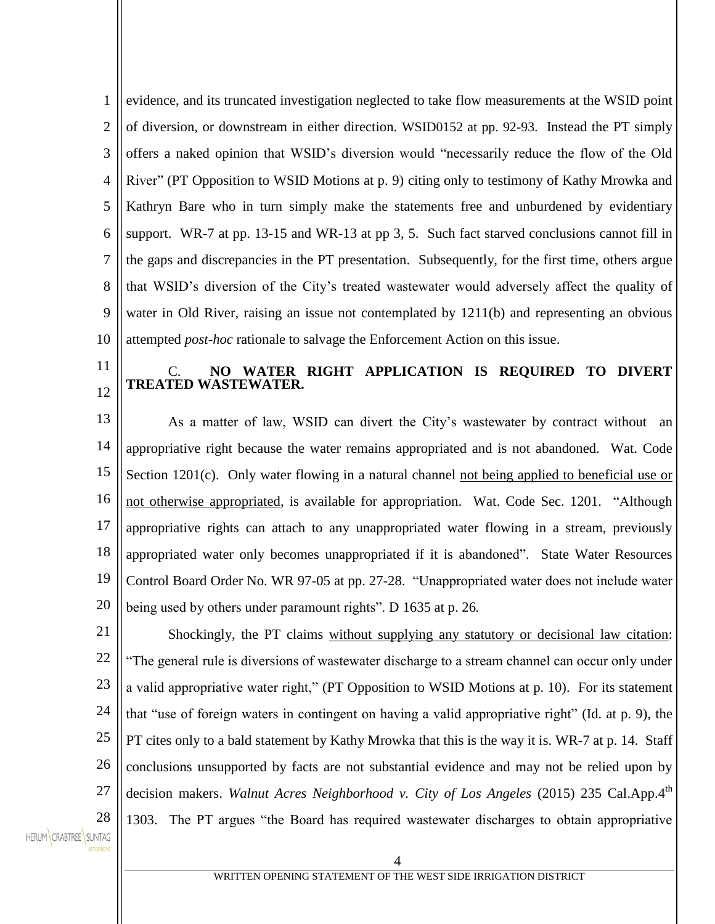1 2 3 4 5 6 7 8 9 10 evidence, and its truncated investigation neglected to take flow measurements at the WSID point of diversion, or downstream in either direction. WSID0152 at pp. 92-93. Instead the PT simply offers a naked opinion that WSID's diversion would "necessarily reduce the flow of the Old River" (PT Opposition to WSID Motions at p. 9) citing only to testimony of Kathy Mrowka and Kathryn Bare who in turn simply make the statements free and unburdened by evidentiary support. WR-7 at pp. 13-15 and WR-13 at pp 3, 5. Such fact starved conclusions cannot fill in the gaps and discrepancies in the PT presentation. Subsequently, for the first time, others argue that WSID's diversion of the City's treated wastewater would adversely affect the quality of water in Old River, raising an issue not contemplated by 1211(b) and representing an obvious attempted *post-hoc* rationale to salvage the Enforcement Action on this issue.

## C. **NO WATER RIGHT APPLICATION IS REQUIRED TO DIVERT TREATED WASTEWATER.**

13 14 15 16 17 18 19 20 As a matter of law, WSID can divert the City's wastewater by contract without an appropriative right because the water remains appropriated and is not abandoned. Wat. Code Section 1201(c). Only water flowing in a natural channel not being applied to beneficial use or not otherwise appropriated, is available for appropriation. Wat. Code Sec. 1201. "Although appropriative rights can attach to any unappropriated water flowing in a stream, previously appropriated water only becomes unappropriated if it is abandoned". State Water Resources Control Board Order No. WR 97-05 at pp. 27-28. "Unappropriated water does not include water being used by others under paramount rights". D 1635 at p. 26*.*

21 22 23 24 25 26 27 28 Shockingly, the PT claims without supplying any statutory or decisional law citation: "The general rule is diversions of wastewater discharge to a stream channel can occur only under a valid appropriative water right," (PT Opposition to WSID Motions at p. 10). For its statement that "use of foreign waters in contingent on having a valid appropriative right" (Id. at p. 9), the PT cites only to a bald statement by Kathy Mrowka that this is the way it is. WR-7 at p. 14. Staff conclusions unsupported by facts are not substantial evidence and may not be relied upon by decision makers. *Walnut Acres Neighborhood v. City of Los Angeles* (2015) 235 Cal.App.4<sup>th</sup> 1303. The PT argues "the Board has required wastewater discharges to obtain appropriative

HERUM CRABTREE SUNTAG

11

12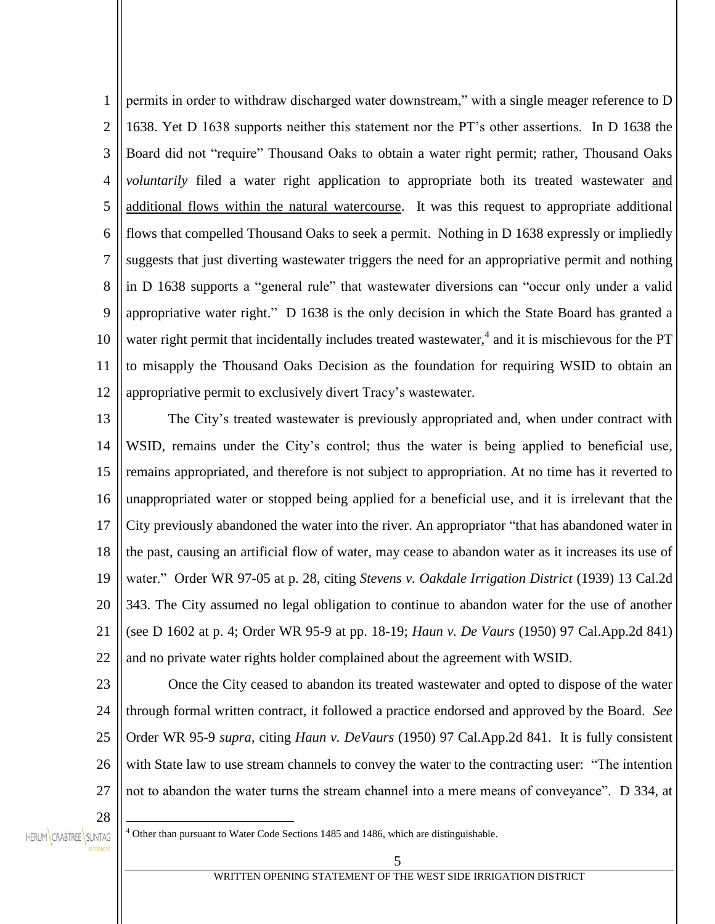1 2 3 4 5 6 7 8 9 10 11 12 permits in order to withdraw discharged water downstream," with a single meager reference to D 1638. Yet D 1638 supports neither this statement nor the PT's other assertions. In D 1638 the Board did not "require" Thousand Oaks to obtain a water right permit; rather, Thousand Oaks *voluntarily* filed a water right application to appropriate both its treated wastewater and additional flows within the natural watercourse. It was this request to appropriate additional flows that compelled Thousand Oaks to seek a permit. Nothing in D 1638 expressly or impliedly suggests that just diverting wastewater triggers the need for an appropriative permit and nothing in D 1638 supports a "general rule" that wastewater diversions can "occur only under a valid appropriative water right." D 1638 is the only decision in which the State Board has granted a water right permit that incidentally includes treated wastewater,<sup>4</sup> and it is mischievous for the PT to misapply the Thousand Oaks Decision as the foundation for requiring WSID to obtain an appropriative permit to exclusively divert Tracy's wastewater.

13 14 15 16 17 18 19 20 21 22 The City's treated wastewater is previously appropriated and, when under contract with WSID, remains under the City's control; thus the water is being applied to beneficial use, remains appropriated, and therefore is not subject to appropriation. At no time has it reverted to unappropriated water or stopped being applied for a beneficial use, and it is irrelevant that the City previously abandoned the water into the river. An appropriator "that has abandoned water in the past, causing an artificial flow of water, may cease to abandon water as it increases its use of water." Order WR 97-05 at p. 28, citing *Stevens v. Oakdale Irrigation District* (1939) 13 Cal.2d 343. The City assumed no legal obligation to continue to abandon water for the use of another (see D 1602 at p. 4; Order WR 95-9 at pp. 18-19; *Haun v. De Vaurs* (1950) 97 Cal.App.2d 841) and no private water rights holder complained about the agreement with WSID.

23

24 25 26 27 Once the City ceased to abandon its treated wastewater and opted to dispose of the water through formal written contract, it followed a practice endorsed and approved by the Board. *See* Order WR 95-9 *supra*, citing *Haun v. DeVaurs* (1950) 97 Cal.App.2d 841. It is fully consistent with State law to use stream channels to convey the water to the contracting user: "The intention not to abandon the water turns the stream channel into a mere means of conveyance". D 334, at

28

 $\overline{a}$ 

HERUM CRABTREE SUNTAG

<sup>4</sup> Other than pursuant to Water Code Sections 1485 and 1486, which are distinguishable.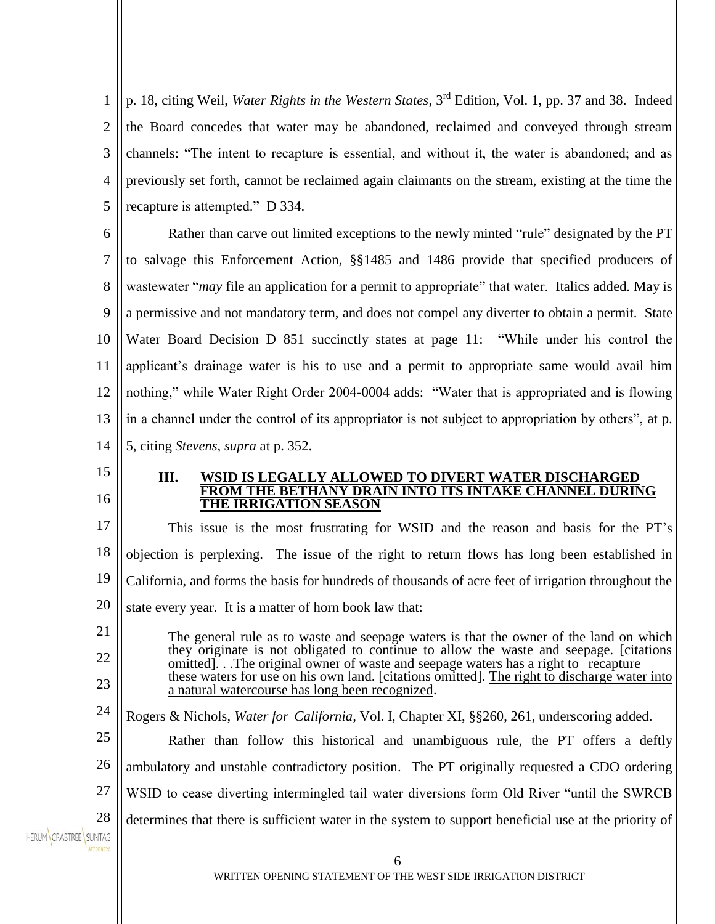1 2 3 4 5 p. 18, citing Weil, *Water Rights in the Western States*, 3rd Edition, Vol. 1, pp. 37 and 38. Indeed the Board concedes that water may be abandoned, reclaimed and conveyed through stream channels: "The intent to recapture is essential, and without it, the water is abandoned; and as previously set forth, cannot be reclaimed again claimants on the stream, existing at the time the recapture is attempted." D 334.

6 7 8 9 10 11 12 13 14 Rather than carve out limited exceptions to the newly minted "rule" designated by the PT to salvage this Enforcement Action, §§1485 and 1486 provide that specified producers of wastewater "*may* file an application for a permit to appropriate" that water. Italics added*.* May is a permissive and not mandatory term, and does not compel any diverter to obtain a permit. State Water Board Decision D 851 succinctly states at page 11: "While under his control the applicant's drainage water is his to use and a permit to appropriate same would avail him nothing," while Water Right Order 2004-0004 adds: "Water that is appropriated and is flowing in a channel under the control of its appropriator is not subject to appropriation by others", at p. 5, citing *Stevens, supra* at p. 352.

**III. WSID IS LEGALLY ALLOWED TO DIVERT WATER DISCHARGED FROM THE BETHANY DRAIN INTO ITS INTAKE CHANNEL DURING THE IRRIGATION SEASON** 

17 18 19 20 This issue is the most frustrating for WSID and the reason and basis for the PT's objection is perplexing. The issue of the right to return flows has long been established in California, and forms the basis for hundreds of thousands of acre feet of irrigation throughout the state every year. It is a matter of horn book law that:

The general rule as to waste and seepage waters is that the owner of the land on which they originate is not obligated to continue to allow the waste and seepage. [citations omitted]. . .The original owner of waste and seepage waters has a right to recapture these waters for use on his own land. [citations omitted]. The right to discharge water into a natural watercourse has long been recognized.

24 Rogers & Nichols, *Water for California,* Vol. I, Chapter XI, §§260, 261, underscoring added.

25 26 27 28 Rather than follow this historical and unambiguous rule, the PT offers a deftly ambulatory and unstable contradictory position. The PT originally requested a CDO ordering WSID to cease diverting intermingled tail water diversions form Old River "until the SWRCB determines that there is sufficient water in the system to support beneficial use at the priority of

HERUM CRABTREE SUNTAG

15

16

21

22

23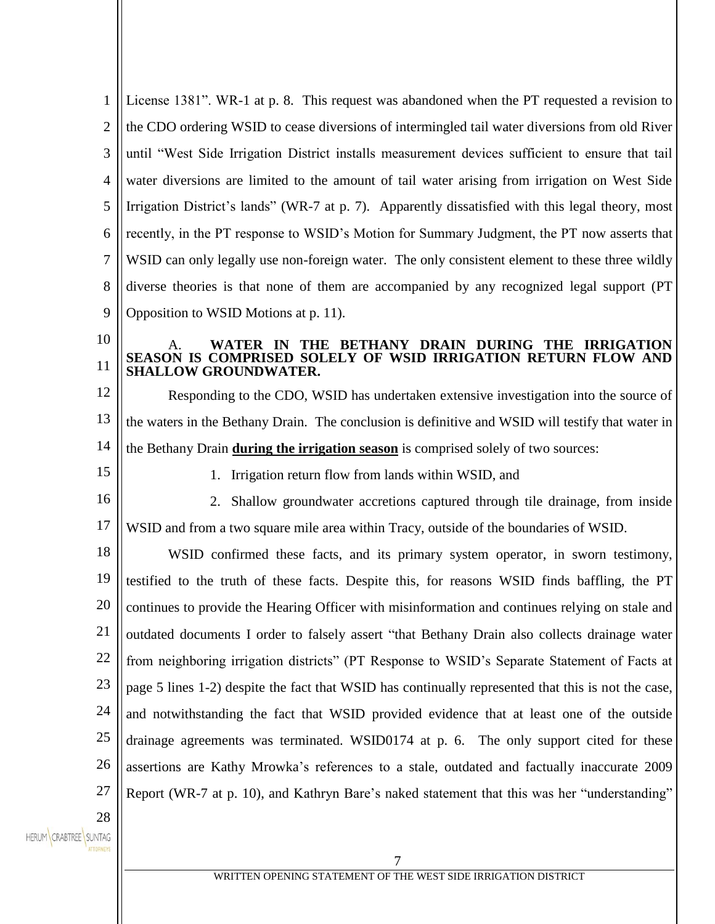| $\mathbf{1}$           | License 1381". WR-1 at p. 8. This request was abandoned when the PT requested a revision to         |
|------------------------|-----------------------------------------------------------------------------------------------------|
| $\overline{2}$         | the CDO ordering WSID to cease diversions of intermingled tail water diversions from old River      |
| 3                      | until "West Side Irrigation District installs measurement devices sufficient to ensure that tail    |
| $\overline{4}$         | water diversions are limited to the amount of tail water arising from irrigation on West Side       |
| 5                      | Irrigation District's lands" (WR-7 at p. 7). Apparently dissatisfied with this legal theory, most   |
| 6                      | recently, in the PT response to WSID's Motion for Summary Judgment, the PT now asserts that         |
| 7                      | WSID can only legally use non-foreign water. The only consistent element to these three wildly      |
| 8                      | diverse theories is that none of them are accompanied by any recognized legal support (PT           |
| 9                      | Opposition to WSID Motions at p. 11).                                                               |
| 10                     | THE BETHANY DRAIN DURING THE IRRIGATION<br>WATER IN                                                 |
| 11                     | SEASON IS COMPRISED SOLELY OF WSID IRRIGATION RETURN FLOW AND<br><b>SHALLOW GROUNDWATER.</b>        |
| 12                     | Responding to the CDO, WSID has undertaken extensive investigation into the source of               |
| 13                     | the waters in the Bethany Drain. The conclusion is definitive and WSID will testify that water in   |
| 14                     | the Bethany Drain during the irrigation season is comprised solely of two sources:                  |
| 15                     | 1. Irrigation return flow from lands within WSID, and                                               |
| 16                     | 2. Shallow groundwater accretions captured through tile drainage, from inside                       |
| 17                     | WSID and from a two square mile area within Tracy, outside of the boundaries of WSID.               |
| 18                     | WSID confirmed these facts, and its primary system operator, in sworn testimony,                    |
| 19                     | testified to the truth of these facts. Despite this, for reasons WSID finds baffling, the PT        |
| 20                     | continues to provide the Hearing Officer with misinformation and continues relying on stale and     |
| 21                     | outdated documents I order to falsely assert "that Bethany Drain also collects drainage water       |
| 22                     | from neighboring irrigation districts" (PT Response to WSID's Separate Statement of Facts at        |
| 23                     | page 5 lines 1-2) despite the fact that WSID has continually represented that this is not the case, |
| 24                     | and notwithstanding the fact that WSID provided evidence that at least one of the outside           |
| 25                     | drainage agreements was terminated. WSID0174 at p. 6. The only support cited for these              |
| 26                     | assertions are Kathy Mrowka's references to a stale, outdated and factually inaccurate 2009         |
| 27                     | Report (WR-7 at p. 10), and Kathryn Bare's naked statement that this was her "understanding"        |
| 28                     |                                                                                                     |
| <b>CRABTREE</b> SUNTAG |                                                                                                     |
|                        | 7                                                                                                   |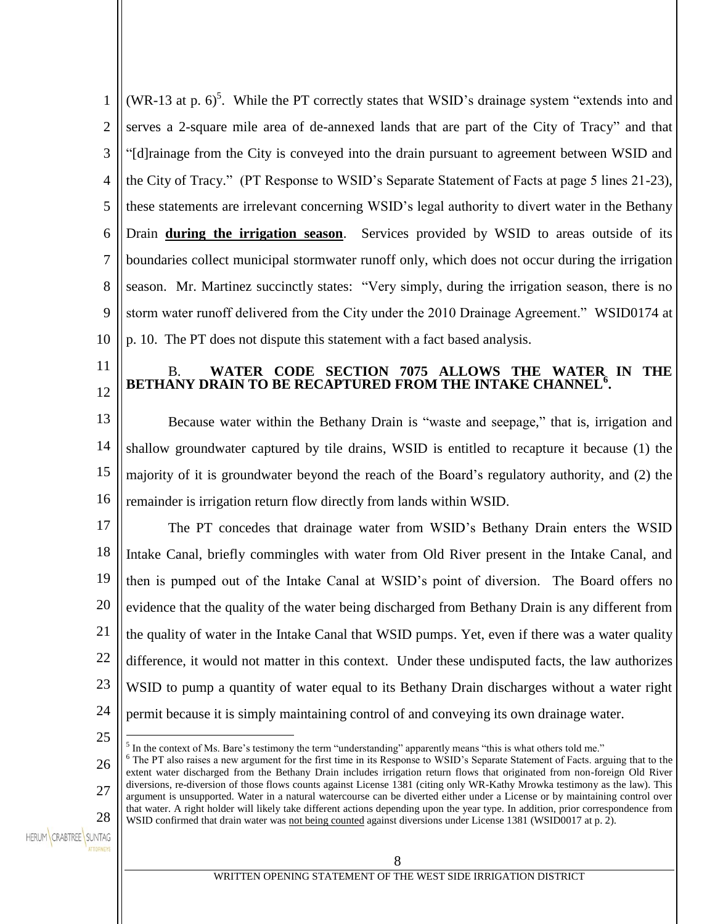| 1              | (WR-13 at p. $6$ ) <sup>5</sup> . While the PT correctly states that WSID's drainage system "extends into and                                                                                                                                                              |  |
|----------------|----------------------------------------------------------------------------------------------------------------------------------------------------------------------------------------------------------------------------------------------------------------------------|--|
| $\overline{2}$ | serves a 2-square mile area of de-annexed lands that are part of the City of Tracy" and that                                                                                                                                                                               |  |
| 3              | "[d] rainage from the City is conveyed into the drain pursuant to agreement between WSID and                                                                                                                                                                               |  |
| $\overline{4}$ | the City of Tracy." (PT Response to WSID's Separate Statement of Facts at page 5 lines 21-23),                                                                                                                                                                             |  |
| 5              | these statements are irrelevant concerning WSID's legal authority to divert water in the Bethany                                                                                                                                                                           |  |
| 6              | Drain during the irrigation season. Services provided by WSID to areas outside of its                                                                                                                                                                                      |  |
| 7              | boundaries collect municipal stormwater runoff only, which does not occur during the irrigation                                                                                                                                                                            |  |
| 8              | season. Mr. Martinez succinctly states: "Very simply, during the irrigation season, there is no                                                                                                                                                                            |  |
| 9              | storm water runoff delivered from the City under the 2010 Drainage Agreement." WSID0174 at                                                                                                                                                                                 |  |
| 10             | p. 10. The PT does not dispute this statement with a fact based analysis.                                                                                                                                                                                                  |  |
| 11             | WATER CODE SECTION 7075 ALLOWS THE WATER IN THE<br>В.<br>BETHANY DRAIN TO BE RECAPTURED FROM THE INTAKE CHANNEL°.                                                                                                                                                          |  |
| 12             |                                                                                                                                                                                                                                                                            |  |
| 13             | Because water within the Bethany Drain is "waste and seepage," that is, irrigation and                                                                                                                                                                                     |  |
| 14             | shallow groundwater captured by tile drains, WSID is entitled to recapture it because (1) the                                                                                                                                                                              |  |
| 15             | majority of it is groundwater beyond the reach of the Board's regulatory authority, and (2) the                                                                                                                                                                            |  |
| 16             | remainder is irrigation return flow directly from lands within WSID.                                                                                                                                                                                                       |  |
| 17             | The PT concedes that drainage water from WSID's Bethany Drain enters the WSID                                                                                                                                                                                              |  |
| 18             | Intake Canal, briefly commingles with water from Old River present in the Intake Canal, and                                                                                                                                                                                |  |
| 19             | then is pumped out of the Intake Canal at WSID's point of diversion. The Board offers no                                                                                                                                                                                   |  |
| 20             | evidence that the quality of the water being discharged from Bethany Drain is any different from                                                                                                                                                                           |  |
| 21             | the quality of water in the Intake Canal that WSID pumps. Yet, even if there was a water quality                                                                                                                                                                           |  |
| 22             | difference, it would not matter in this context. Under these undisputed facts, the law authorizes                                                                                                                                                                          |  |
| 23             | WSID to pump a quantity of water equal to its Bethany Drain discharges without a water right                                                                                                                                                                               |  |
| 24             | permit because it is simply maintaining control of and conveying its own drainage water.                                                                                                                                                                                   |  |
| 25             | <sup>5</sup> In the context of Ms. Bare's testimony the term "understanding" apparently means "this is what others told me."                                                                                                                                               |  |
| 26             | <sup>6</sup> The PT also raises a new argument for the first time in its Response to WSID's Separate Statement of Facts. arguing that to the<br>extent water discharged from the Bethany Drain includes irrigation return flows that originated from non-foreign Old River |  |
| 27             | diversions, re-diversion of those flows counts against License 1381 (citing only WR-Kathy Mrowka testimony as the law). This<br>argument is unsupported. Water in a natural watercourse can be diverted either under a License or by maintaining control over              |  |

28 HERUM CRABTREE SUNTAG that water. A right holder will likely take different actions depending upon the year type. In addition, prior correspondence from

WSID confirmed that drain water was not being counted against diversions under License 1381 (WSID0017 at p. 2).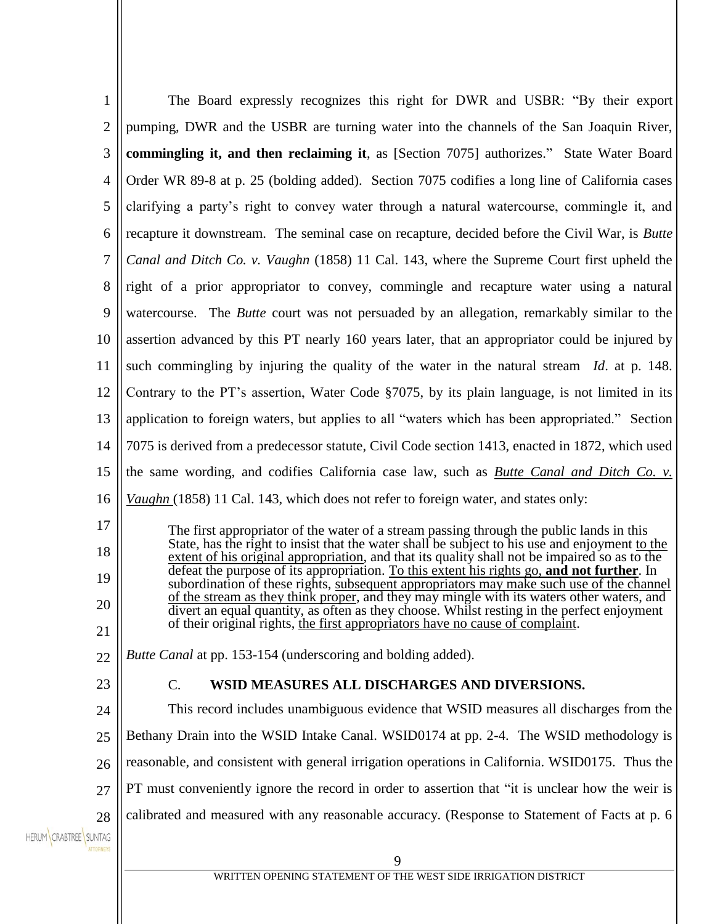| $\mathbf{1}$                             | The Board expressly recognizes this right for DWR and USBR: "By their export                                                                                                                    |
|------------------------------------------|-------------------------------------------------------------------------------------------------------------------------------------------------------------------------------------------------|
| $\overline{2}$                           | pumping, DWR and the USBR are turning water into the channels of the San Joaquin River,                                                                                                         |
| 3                                        | commingling it, and then reclaiming it, as [Section 7075] authorizes." State Water Board                                                                                                        |
| 4                                        | Order WR 89-8 at p. 25 (bolding added). Section 7075 codifies a long line of California cases                                                                                                   |
| 5                                        | clarifying a party's right to convey water through a natural watercourse, commingle it, and                                                                                                     |
| 6                                        | recapture it downstream. The seminal case on recapture, decided before the Civil War, is <i>Butte</i>                                                                                           |
| 7                                        | Canal and Ditch Co. v. Vaughn (1858) 11 Cal. 143, where the Supreme Court first upheld the                                                                                                      |
| 8                                        | right of a prior appropriator to convey, commingle and recapture water using a natural                                                                                                          |
| 9                                        | watercourse. The <i>Butte</i> court was not persuaded by an allegation, remarkably similar to the                                                                                               |
| 10                                       | assertion advanced by this PT nearly 160 years later, that an appropriator could be injured by                                                                                                  |
| 11                                       | such commingling by injuring the quality of the water in the natural stream Id. at p. 148.                                                                                                      |
| 12                                       | Contrary to the PT's assertion, Water Code §7075, by its plain language, is not limited in its                                                                                                  |
| 13                                       | application to foreign waters, but applies to all "waters which has been appropriated." Section                                                                                                 |
| 14                                       | 7075 is derived from a predecessor statute, Civil Code section 1413, enacted in 1872, which used                                                                                                |
| 15                                       | the same wording, and codifies California case law, such as <i>Butte Canal and Ditch Co. v.</i>                                                                                                 |
| 16                                       | <i>Vaughn</i> (1858) 11 Cal. 143, which does not refer to foreign water, and states only:                                                                                                       |
| 17                                       | The first appropriator of the water of a stream passing through the public lands in this                                                                                                        |
| 18                                       | State, has the right to insist that the water shall be subject to his use and enjoyment to the<br>extent of his original appropriation, and that its quality shall not be impaired so as to the |
| 19                                       | defeat the purpose of its appropriation. To this extent his rights go, and not further. In<br>subordination of these rights, subsequent appropriators may make such use of the channel          |
| 20                                       | of the stream as they think proper, and they may mingle with its waters other waters, and<br>divert an equal quantity, as often as they choose. Whilst resting in the perfect enjoyment         |
| 21                                       | of their original rights, the first appropriators have no cause of complaint.                                                                                                                   |
| 22                                       | <i>Butte Canal</i> at pp. 153-154 (underscoring and bolding added).                                                                                                                             |
| 23                                       | WSID MEASURES ALL DISCHARGES AND DIVERSIONS.<br>C.                                                                                                                                              |
| 24                                       | This record includes unambiguous evidence that WSID measures all discharges from the                                                                                                            |
| 25                                       | Bethany Drain into the WSID Intake Canal. WSID0174 at pp. 2-4. The WSID methodology is                                                                                                          |
| 26                                       | reasonable, and consistent with general irrigation operations in California. WSID0175. Thus the                                                                                                 |
| 27                                       | PT must conveniently ignore the record in order to assertion that "it is unclear how the weir is                                                                                                |
| 28                                       | calibrated and measured with any reasonable accuracy. (Response to Statement of Facts at p. 6                                                                                                   |
| HERUM CRABTREE SUNTAG<br><b>TTORNEYS</b> |                                                                                                                                                                                                 |
|                                          | 9                                                                                                                                                                                               |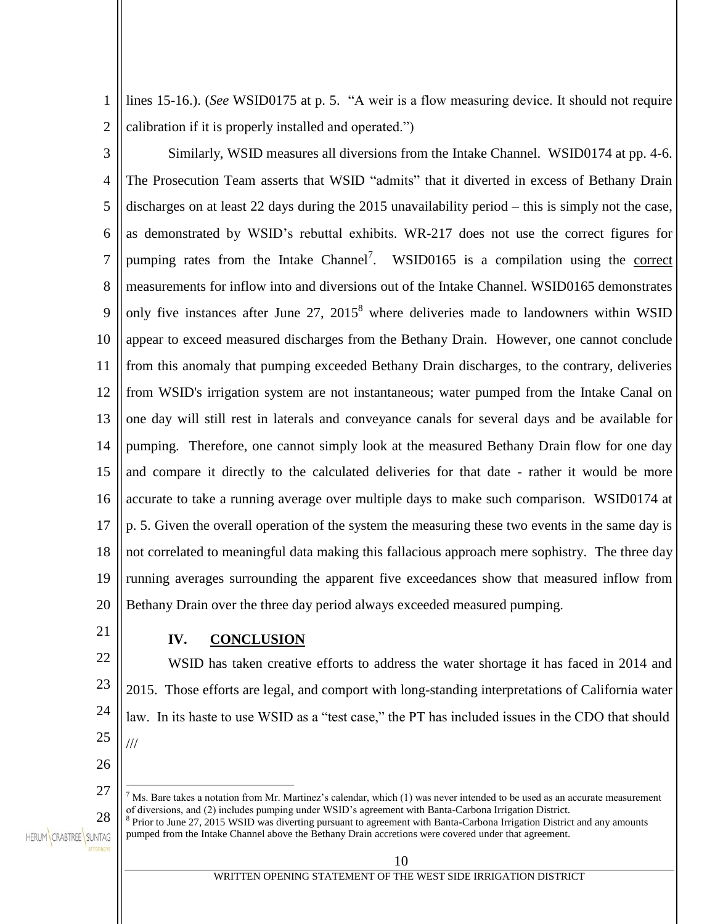1 2 lines 15-16.). (*See* WSID0175 at p. 5. "A weir is a flow measuring device. It should not require calibration if it is properly installed and operated.")

3 4 5 6 7 8 9 10 11 12 13 14 15 16 17 18 19 20 Similarly, WSID measures all diversions from the Intake Channel. WSID0174 at pp. 4-6. The Prosecution Team asserts that WSID "admits" that it diverted in excess of Bethany Drain discharges on at least 22 days during the 2015 unavailability period – this is simply not the case, as demonstrated by WSID's rebuttal exhibits. WR-217 does not use the correct figures for pumping rates from the Intake Channel<sup>7</sup>. WSID0165 is a compilation using the correct measurements for inflow into and diversions out of the Intake Channel. WSID0165 demonstrates only five instances after June  $27$ ,  $2015^8$  where deliveries made to landowners within WSID appear to exceed measured discharges from the Bethany Drain. However, one cannot conclude from this anomaly that pumping exceeded Bethany Drain discharges, to the contrary, deliveries from WSID's irrigation system are not instantaneous; water pumped from the Intake Canal on one day will still rest in laterals and conveyance canals for several days and be available for pumping. Therefore, one cannot simply look at the measured Bethany Drain flow for one day and compare it directly to the calculated deliveries for that date - rather it would be more accurate to take a running average over multiple days to make such comparison. WSID0174 at p. 5. Given the overall operation of the system the measuring these two events in the same day is not correlated to meaningful data making this fallacious approach mere sophistry. The three day running averages surrounding the apparent five exceedances show that measured inflow from Bethany Drain over the three day period always exceeded measured pumping.

## **IV. CONCLUSION**

22 23 24 25 WSID has taken creative efforts to address the water shortage it has faced in 2014 and 2015. Those efforts are legal, and comport with long-standing interpretations of California water law. In its haste to use WSID as a "test case," the PT has included issues in the CDO that should ///

26

 $\overline{a}$ 

21

27

28

HERUM CRABTREE SUNTAG

<sup>7</sup> Ms. Bare takes a notation from Mr. Martinez's calendar, which (1) was never intended to be used as an accurate measurement of diversions, and (2) includes pumping under WSID's agreement with Banta-Carbona Irrigation District.

<sup>8</sup> Prior to June 27, 2015 WSID was diverting pursuant to agreement with Banta-Carbona Irrigation District and any amounts pumped from the Intake Channel above the Bethany Drain accretions were covered under that agreement.